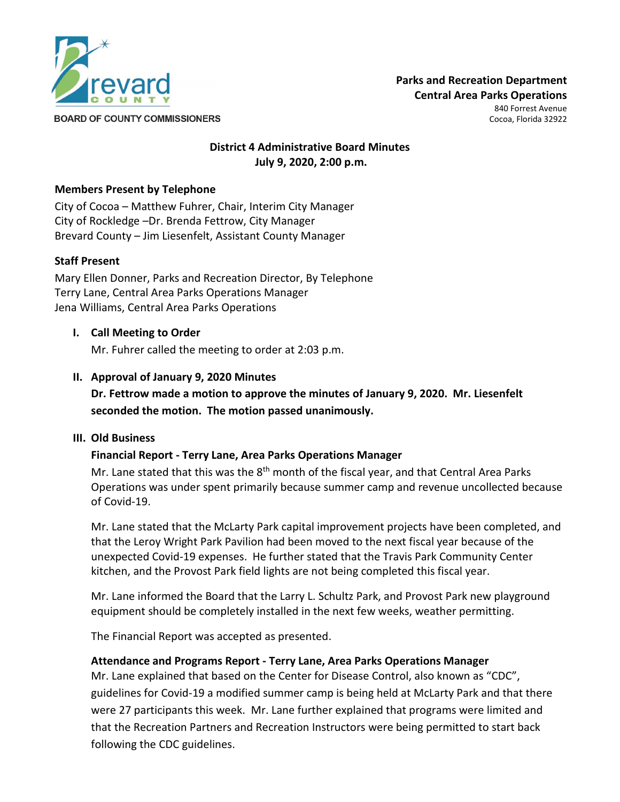

**BOARD OF COUNTY COMMISSIONERS** 

840 Forrest Avenue Cocoa, Florida 32922

# **District 4 Administrative Board Minutes July 9, 2020, 2:00 p.m.**

## **Members Present by Telephone**

City of Cocoa – Matthew Fuhrer, Chair, Interim City Manager City of Rockledge –Dr. Brenda Fettrow, City Manager Brevard County – Jim Liesenfelt, Assistant County Manager

## **Staff Present**

Mary Ellen Donner, Parks and Recreation Director, By Telephone Terry Lane, Central Area Parks Operations Manager Jena Williams, Central Area Parks Operations

#### **I. Call Meeting to Order**

Mr. Fuhrer called the meeting to order at 2:03 p.m.

## **II. Approval of January 9, 2020 Minutes**

**Dr. Fettrow made a motion to approve the minutes of January 9, 2020. Mr. Liesenfelt seconded the motion. The motion passed unanimously.**

#### **III. Old Business**

#### **Financial Report - Terry Lane, Area Parks Operations Manager**

Mr. Lane stated that this was the  $8<sup>th</sup>$  month of the fiscal year, and that Central Area Parks Operations was under spent primarily because summer camp and revenue uncollected because of Covid-19.

Mr. Lane stated that the McLarty Park capital improvement projects have been completed, and that the Leroy Wright Park Pavilion had been moved to the next fiscal year because of the unexpected Covid-19 expenses. He further stated that the Travis Park Community Center kitchen, and the Provost Park field lights are not being completed this fiscal year.

Mr. Lane informed the Board that the Larry L. Schultz Park, and Provost Park new playground equipment should be completely installed in the next few weeks, weather permitting.

The Financial Report was accepted as presented.

#### **Attendance and Programs Report - Terry Lane, Area Parks Operations Manager**

Mr. Lane explained that based on the Center for Disease Control, also known as "CDC", guidelines for Covid-19 a modified summer camp is being held at McLarty Park and that there were 27 participants this week. Mr. Lane further explained that programs were limited and that the Recreation Partners and Recreation Instructors were being permitted to start back following the CDC guidelines.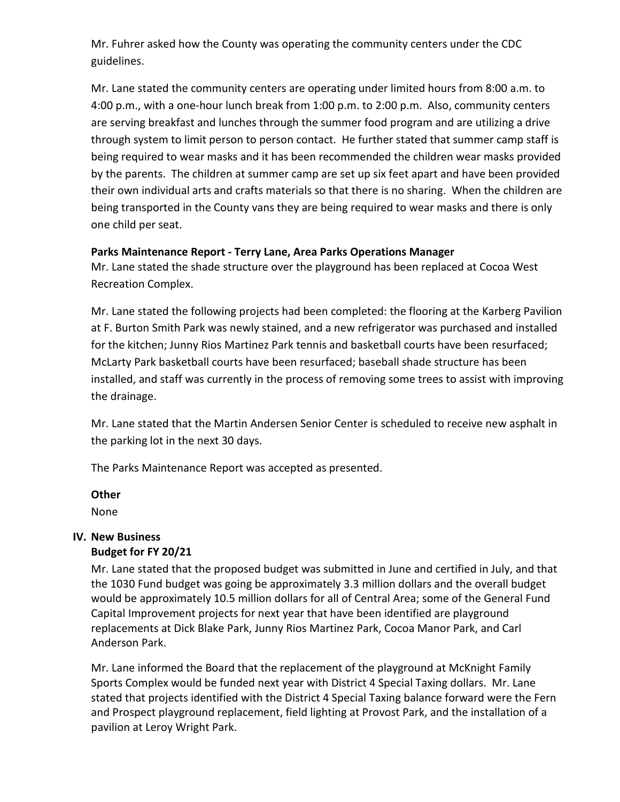Mr. Fuhrer asked how the County was operating the community centers under the CDC guidelines.

Mr. Lane stated the community centers are operating under limited hours from 8:00 a.m. to 4:00 p.m., with a one-hour lunch break from 1:00 p.m. to 2:00 p.m. Also, community centers are serving breakfast and lunches through the summer food program and are utilizing a drive through system to limit person to person contact. He further stated that summer camp staff is being required to wear masks and it has been recommended the children wear masks provided by the parents. The children at summer camp are set up six feet apart and have been provided their own individual arts and crafts materials so that there is no sharing. When the children are being transported in the County vans they are being required to wear masks and there is only one child per seat.

## **Parks Maintenance Report - Terry Lane, Area Parks Operations Manager**

Mr. Lane stated the shade structure over the playground has been replaced at Cocoa West Recreation Complex.

Mr. Lane stated the following projects had been completed: the flooring at the Karberg Pavilion at F. Burton Smith Park was newly stained, and a new refrigerator was purchased and installed for the kitchen; Junny Rios Martinez Park tennis and basketball courts have been resurfaced; McLarty Park basketball courts have been resurfaced; baseball shade structure has been installed, and staff was currently in the process of removing some trees to assist with improving the drainage.

Mr. Lane stated that the Martin Andersen Senior Center is scheduled to receive new asphalt in the parking lot in the next 30 days.

The Parks Maintenance Report was accepted as presented.

# **Other**

None

# **IV. New Business**

# **Budget for FY 20/21**

Mr. Lane stated that the proposed budget was submitted in June and certified in July, and that the 1030 Fund budget was going be approximately 3.3 million dollars and the overall budget would be approximately 10.5 million dollars for all of Central Area; some of the General Fund Capital Improvement projects for next year that have been identified are playground replacements at Dick Blake Park, Junny Rios Martinez Park, Cocoa Manor Park, and Carl Anderson Park.

Mr. Lane informed the Board that the replacement of the playground at McKnight Family Sports Complex would be funded next year with District 4 Special Taxing dollars. Mr. Lane stated that projects identified with the District 4 Special Taxing balance forward were the Fern and Prospect playground replacement, field lighting at Provost Park, and the installation of a pavilion at Leroy Wright Park.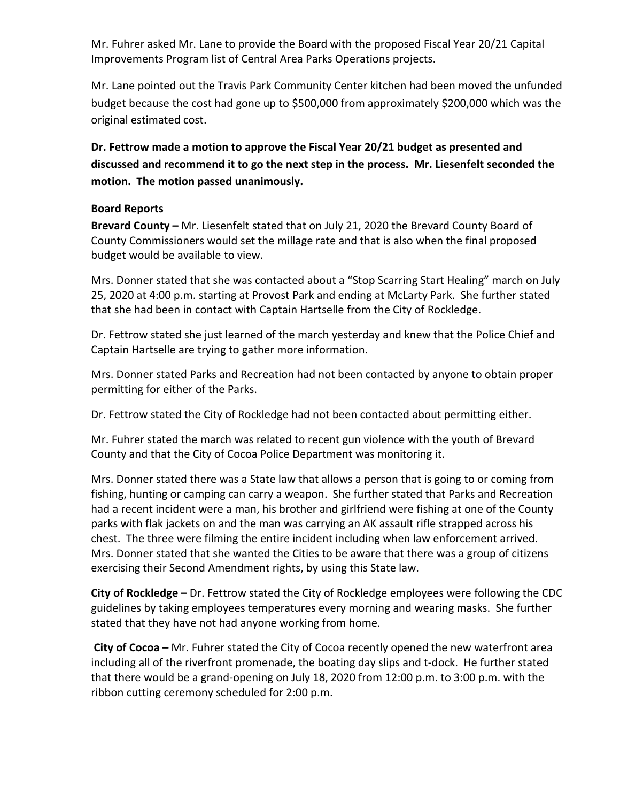Mr. Fuhrer asked Mr. Lane to provide the Board with the proposed Fiscal Year 20/21 Capital Improvements Program list of Central Area Parks Operations projects.

Mr. Lane pointed out the Travis Park Community Center kitchen had been moved the unfunded budget because the cost had gone up to \$500,000 from approximately \$200,000 which was the original estimated cost.

**Dr. Fettrow made a motion to approve the Fiscal Year 20/21 budget as presented and discussed and recommend it to go the next step in the process. Mr. Liesenfelt seconded the motion. The motion passed unanimously.**

## **Board Reports**

**Brevard County –** Mr. Liesenfelt stated that on July 21, 2020 the Brevard County Board of County Commissioners would set the millage rate and that is also when the final proposed budget would be available to view.

Mrs. Donner stated that she was contacted about a "Stop Scarring Start Healing" march on July 25, 2020 at 4:00 p.m. starting at Provost Park and ending at McLarty Park. She further stated that she had been in contact with Captain Hartselle from the City of Rockledge.

Dr. Fettrow stated she just learned of the march yesterday and knew that the Police Chief and Captain Hartselle are trying to gather more information.

Mrs. Donner stated Parks and Recreation had not been contacted by anyone to obtain proper permitting for either of the Parks.

Dr. Fettrow stated the City of Rockledge had not been contacted about permitting either.

Mr. Fuhrer stated the march was related to recent gun violence with the youth of Brevard County and that the City of Cocoa Police Department was monitoring it.

Mrs. Donner stated there was a State law that allows a person that is going to or coming from fishing, hunting or camping can carry a weapon. She further stated that Parks and Recreation had a recent incident were a man, his brother and girlfriend were fishing at one of the County parks with flak jackets on and the man was carrying an AK assault rifle strapped across his chest. The three were filming the entire incident including when law enforcement arrived. Mrs. Donner stated that she wanted the Cities to be aware that there was a group of citizens exercising their Second Amendment rights, by using this State law.

**City of Rockledge –** Dr. Fettrow stated the City of Rockledge employees were following the CDC guidelines by taking employees temperatures every morning and wearing masks. She further stated that they have not had anyone working from home.

**City of Cocoa –** Mr. Fuhrer stated the City of Cocoa recently opened the new waterfront area including all of the riverfront promenade, the boating day slips and t-dock. He further stated that there would be a grand-opening on July 18, 2020 from 12:00 p.m. to 3:00 p.m. with the ribbon cutting ceremony scheduled for 2:00 p.m.